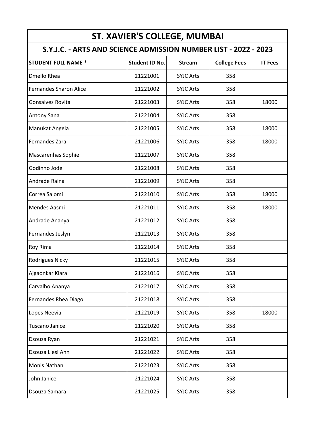|                                                                 |                       | <b>ST. XAVIER'S COLLEGE, MUMBAI</b> |                     |                |
|-----------------------------------------------------------------|-----------------------|-------------------------------------|---------------------|----------------|
| S.Y.J.C. - ARTS AND SCIENCE ADMISSION NUMBER LIST - 2022 - 2023 |                       |                                     |                     |                |
| <b>STUDENT FULL NAME *</b>                                      | <b>Student ID No.</b> | <b>Stream</b>                       | <b>College Fees</b> | <b>IT Fees</b> |
| <b>Dmello Rhea</b>                                              | 21221001              | <b>SYJC Arts</b>                    | 358                 |                |
| <b>Fernandes Sharon Alice</b>                                   | 21221002              | <b>SYJC Arts</b>                    | 358                 |                |
| Gonsalves Rovita                                                | 21221003              | <b>SYJC Arts</b>                    | 358                 | 18000          |
| Antony Sana                                                     | 21221004              | <b>SYJC Arts</b>                    | 358                 |                |
| Manukat Angela                                                  | 21221005              | <b>SYJC Arts</b>                    | 358                 | 18000          |
| Fernandes Zara                                                  | 21221006              | <b>SYJC Arts</b>                    | 358                 | 18000          |
| <b>Mascarenhas Sophie</b>                                       | 21221007              | <b>SYJC Arts</b>                    | 358                 |                |
| Godinho Jodel                                                   | 21221008              | <b>SYJC Arts</b>                    | 358                 |                |
| Andrade Raina                                                   | 21221009              | <b>SYJC Arts</b>                    | 358                 |                |
| Correa Salomi                                                   | 21221010              | <b>SYJC Arts</b>                    | 358                 | 18000          |
| Mendes Aasmi                                                    | 21221011              | <b>SYJC Arts</b>                    | 358                 | 18000          |
| Andrade Ananya                                                  | 21221012              | <b>SYJC Arts</b>                    | 358                 |                |
| Fernandes Jeslyn                                                | 21221013              | <b>SYJC Arts</b>                    | 358                 |                |
| Roy Rima                                                        | 21221014              | <b>SYJC Arts</b>                    | 358                 |                |
| Rodrigues Nicky                                                 | 21221015              | <b>SYJC Arts</b>                    | 358                 |                |
| Ajgaonkar Kiara                                                 | 21221016              | <b>SYJC Arts</b>                    | 358                 |                |
| Carvalho Ananya                                                 | 21221017              | <b>SYJC Arts</b>                    | 358                 |                |
| Fernandes Rhea Diago                                            | 21221018              | <b>SYJC Arts</b>                    | 358                 |                |
| Lopes Neevia                                                    | 21221019              | <b>SYJC Arts</b>                    | 358                 | 18000          |
| <b>Tuscano Janice</b>                                           | 21221020              | <b>SYJC Arts</b>                    | 358                 |                |
| Dsouza Ryan                                                     | 21221021              | <b>SYJC Arts</b>                    | 358                 |                |
| Dsouza Liesl Ann                                                | 21221022              | <b>SYJC Arts</b>                    | 358                 |                |
| Monis Nathan                                                    | 21221023              | <b>SYJC Arts</b>                    | 358                 |                |
| John Janice                                                     | 21221024              | <b>SYJC Arts</b>                    | 358                 |                |
| Dsouza Samara                                                   | 21221025              | <b>SYJC Arts</b>                    | 358                 |                |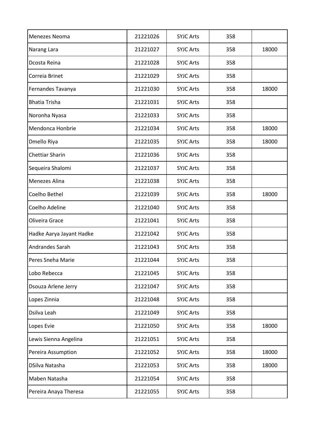| Menezes Neoma            | 21221026 | <b>SYJC Arts</b> | 358 |       |
|--------------------------|----------|------------------|-----|-------|
| Narang Lara              | 21221027 | <b>SYJC Arts</b> | 358 | 18000 |
| Dcosta Reina             | 21221028 | <b>SYJC Arts</b> | 358 |       |
| Correia Brinet           | 21221029 | <b>SYJC Arts</b> | 358 |       |
| Fernandes Tavanya        | 21221030 | <b>SYJC Arts</b> | 358 | 18000 |
| <b>Bhatia Trisha</b>     | 21221031 | <b>SYJC Arts</b> | 358 |       |
| Noronha Nyasa            | 21221033 | <b>SYJC Arts</b> | 358 |       |
| Mendonca Honbrie         | 21221034 | <b>SYJC Arts</b> | 358 | 18000 |
| Dmello Riya              | 21221035 | <b>SYJC Arts</b> | 358 | 18000 |
| <b>Chettiar Sharin</b>   | 21221036 | <b>SYJC Arts</b> | 358 |       |
| Sequeira Shalomi         | 21221037 | <b>SYJC Arts</b> | 358 |       |
| <b>Menezes Alina</b>     | 21221038 | <b>SYJC Arts</b> | 358 |       |
| Coelho Bethel            | 21221039 | <b>SYJC Arts</b> | 358 | 18000 |
| Coelho Adeline           | 21221040 | <b>SYJC Arts</b> | 358 |       |
| Oliveira Grace           | 21221041 | <b>SYJC Arts</b> | 358 |       |
| Hadke Aarya Jayant Hadke | 21221042 | <b>SYJC Arts</b> | 358 |       |
| Andrandes Sarah          | 21221043 | <b>SYJC Arts</b> | 358 |       |
| Peres Sneha Marie        | 21221044 | <b>SYJC Arts</b> | 358 |       |
| Lobo Rebecca             | 21221045 | <b>SYJC Arts</b> | 358 |       |
| Dsouza Arlene Jerry      | 21221047 | <b>SYJC Arts</b> | 358 |       |
| Lopes Zinnia             | 21221048 | <b>SYJC Arts</b> | 358 |       |
| Dsilva Leah              | 21221049 | <b>SYJC Arts</b> | 358 |       |
| Lopes Evie               | 21221050 | <b>SYJC Arts</b> | 358 | 18000 |
| Lewis Sienna Angelina    | 21221051 | <b>SYJC Arts</b> | 358 |       |
| Pereira Assumption       | 21221052 | <b>SYJC Arts</b> | 358 | 18000 |
| DSilva Natasha           | 21221053 | <b>SYJC Arts</b> | 358 | 18000 |
| Maben Natasha            | 21221054 | <b>SYJC Arts</b> | 358 |       |
| Pereira Anaya Theresa    | 21221055 | <b>SYJC Arts</b> | 358 |       |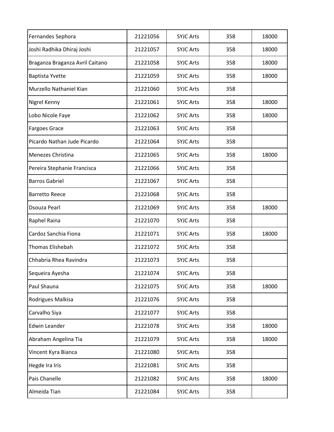| Fernandes Sephora               | 21221056 | <b>SYJC Arts</b> | 358 | 18000 |
|---------------------------------|----------|------------------|-----|-------|
| Joshi Radhika Dhiraj Joshi      | 21221057 | <b>SYJC Arts</b> | 358 | 18000 |
| Braganza Braganza Avril Caitano | 21221058 | <b>SYJC Arts</b> | 358 | 18000 |
| <b>Baptista Yvette</b>          | 21221059 | <b>SYJC Arts</b> | 358 | 18000 |
| Murzello Nathaniel Kian         | 21221060 | <b>SYJC Arts</b> | 358 |       |
| Nigrel Kenny                    | 21221061 | <b>SYJC Arts</b> | 358 | 18000 |
| Lobo Nicole Faye                | 21221062 | <b>SYJC Arts</b> | 358 | 18000 |
| <b>Fargoes Grace</b>            | 21221063 | <b>SYJC Arts</b> | 358 |       |
| Picardo Nathan Jude Picardo     | 21221064 | <b>SYJC Arts</b> | 358 |       |
| Menezes Christina               | 21221065 | <b>SYJC Arts</b> | 358 | 18000 |
| Pereira Stephanie Francisca     | 21221066 | <b>SYJC Arts</b> | 358 |       |
| <b>Barros Gabriel</b>           | 21221067 | <b>SYJC Arts</b> | 358 |       |
| <b>Barretto Reece</b>           | 21221068 | <b>SYJC Arts</b> | 358 |       |
| Dsouza Pearl                    | 21221069 | <b>SYJC Arts</b> | 358 | 18000 |
| Raphel Raina                    | 21221070 | <b>SYJC Arts</b> | 358 |       |
| Cardoz Sanchia Fiona            | 21221071 | <b>SYJC Arts</b> | 358 | 18000 |
| Thomas Elishebah                | 21221072 | <b>SYJC Arts</b> | 358 |       |
| Chhabria Rhea Ravindra          | 21221073 | <b>SYJC Arts</b> | 358 |       |
| Sequeira Ayesha                 | 21221074 | <b>SYJC Arts</b> | 358 |       |
| Paul Shauna                     | 21221075 | <b>SYJC Arts</b> | 358 | 18000 |
| Rodrigues Malkisa               | 21221076 | <b>SYJC Arts</b> | 358 |       |
| Carvalho Siya                   | 21221077 | <b>SYJC Arts</b> | 358 |       |
| Edwin Leander                   | 21221078 | <b>SYJC Arts</b> | 358 | 18000 |
| Abraham Angelina Tia            | 21221079 | <b>SYJC Arts</b> | 358 | 18000 |
| Vincent Kyra Bianca             | 21221080 | <b>SYJC Arts</b> | 358 |       |
| Hegde Ira Iris                  | 21221081 | <b>SYJC Arts</b> | 358 |       |
| Pais Chanelle                   | 21221082 | <b>SYJC Arts</b> | 358 | 18000 |
| Almeida Tian                    | 21221084 | <b>SYJC Arts</b> | 358 |       |
|                                 |          |                  |     |       |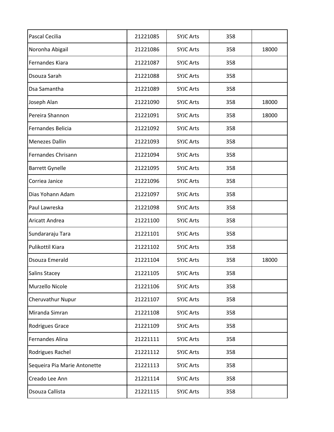| Pascal Cecilia               | 21221085 | <b>SYJC Arts</b> | 358 |       |
|------------------------------|----------|------------------|-----|-------|
| Noronha Abigail              | 21221086 | <b>SYJC Arts</b> | 358 | 18000 |
| <b>Fernandes Kiara</b>       | 21221087 | <b>SYJC Arts</b> | 358 |       |
| Dsouza Sarah                 | 21221088 | <b>SYJC Arts</b> | 358 |       |
| Dsa Samantha                 | 21221089 | <b>SYJC Arts</b> | 358 |       |
| Joseph Alan                  | 21221090 | <b>SYJC Arts</b> | 358 | 18000 |
| Pereira Shannon              | 21221091 | <b>SYJC Arts</b> | 358 | 18000 |
| Fernandes Belicia            | 21221092 | <b>SYJC Arts</b> | 358 |       |
| <b>Menezes Dallin</b>        | 21221093 | <b>SYJC Arts</b> | 358 |       |
| Fernandes Chrisann           | 21221094 | <b>SYJC Arts</b> | 358 |       |
| <b>Barrett Gynelle</b>       | 21221095 | <b>SYJC Arts</b> | 358 |       |
| Corriea Janice               | 21221096 | <b>SYJC Arts</b> | 358 |       |
| Dias Yohann Adam             | 21221097 | <b>SYJC Arts</b> | 358 |       |
| Paul Lawreska                | 21221098 | <b>SYJC Arts</b> | 358 |       |
| Aricatt Andrea               | 21221100 | <b>SYJC Arts</b> | 358 |       |
| Sundararaju Tara             | 21221101 | <b>SYJC Arts</b> | 358 |       |
| Pulikottil Kiara             | 21221102 | <b>SYJC Arts</b> | 358 |       |
| Dsouza Emerald               | 21221104 | <b>SYJC Arts</b> | 358 | 18000 |
| <b>Salins Stacey</b>         | 21221105 | <b>SYJC Arts</b> | 358 |       |
| Murzello Nicole              | 21221106 | <b>SYJC Arts</b> | 358 |       |
| Cheruvathur Nupur            | 21221107 | <b>SYJC Arts</b> | 358 |       |
| Miranda Simran               | 21221108 | <b>SYJC Arts</b> | 358 |       |
| Rodrigues Grace              | 21221109 | <b>SYJC Arts</b> | 358 |       |
| Fernandes Alina              | 21221111 | <b>SYJC Arts</b> | 358 |       |
| Rodrigues Rachel             | 21221112 | <b>SYJC Arts</b> | 358 |       |
| Sequeira Pia Marie Antonette | 21221113 | <b>SYJC Arts</b> | 358 |       |
| Creado Lee Ann               | 21221114 | <b>SYJC Arts</b> | 358 |       |
| Dsouza Callista              | 21221115 | <b>SYJC Arts</b> | 358 |       |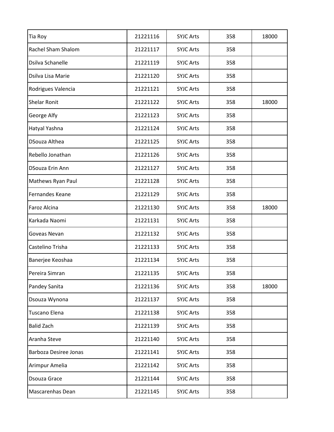| Tia Roy                | 21221116 | <b>SYJC Arts</b> | 358 | 18000 |
|------------------------|----------|------------------|-----|-------|
| Rachel Sham Shalom     | 21221117 | <b>SYJC Arts</b> | 358 |       |
| Dsilva Schanelle       | 21221119 | <b>SYJC Arts</b> | 358 |       |
| Dsilva Lisa Marie      | 21221120 | <b>SYJC Arts</b> | 358 |       |
| Rodrigues Valencia     | 21221121 | <b>SYJC Arts</b> | 358 |       |
| <b>Shelar Ronit</b>    | 21221122 | <b>SYJC Arts</b> | 358 | 18000 |
| George Alfy            | 21221123 | <b>SYJC Arts</b> | 358 |       |
| Hatyal Yashna          | 21221124 | <b>SYJC Arts</b> | 358 |       |
| DSouza Althea          | 21221125 | <b>SYJC Arts</b> | 358 |       |
| Rebello Jonathan       | 21221126 | <b>SYJC Arts</b> | 358 |       |
| <b>DSouza Erin Ann</b> | 21221127 | <b>SYJC Arts</b> | 358 |       |
| Mathews Ryan Paul      | 21221128 | <b>SYJC Arts</b> | 358 |       |
| Fernandes Keane        | 21221129 | <b>SYJC Arts</b> | 358 |       |
| Faroz Alcina           | 21221130 | <b>SYJC Arts</b> | 358 | 18000 |
| Karkada Naomi          | 21221131 | <b>SYJC Arts</b> | 358 |       |
| Goveas Nevan           | 21221132 | <b>SYJC Arts</b> | 358 |       |
| Castelino Trisha       | 21221133 | <b>SYJC Arts</b> | 358 |       |
| Banerjee Keoshaa       | 21221134 | <b>SYJC Arts</b> | 358 |       |
| Pereira Simran         | 21221135 | <b>SYJC Arts</b> | 358 |       |
| Pandey Sanita          | 21221136 | <b>SYJC Arts</b> | 358 | 18000 |
| Dsouza Wynona          | 21221137 | <b>SYJC Arts</b> | 358 |       |
| Tuscano Elena          | 21221138 | <b>SYJC Arts</b> | 358 |       |
| <b>Balid Zach</b>      | 21221139 | <b>SYJC Arts</b> | 358 |       |
| Aranha Steve           | 21221140 | <b>SYJC Arts</b> | 358 |       |
| Barboza Desiree Jonas  | 21221141 | <b>SYJC Arts</b> | 358 |       |
| Arimpur Amelia         | 21221142 | <b>SYJC Arts</b> | 358 |       |
| Dsouza Grace           | 21221144 | <b>SYJC Arts</b> | 358 |       |
| Mascarenhas Dean       | 21221145 | <b>SYJC Arts</b> | 358 |       |
|                        |          |                  |     |       |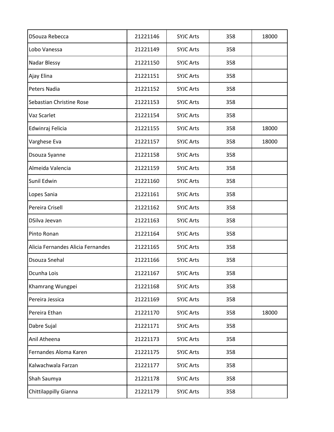| DSouza Rebecca                    | 21221146 | <b>SYJC Arts</b> | 358 | 18000 |
|-----------------------------------|----------|------------------|-----|-------|
| Lobo Vanessa                      | 21221149 | <b>SYJC Arts</b> | 358 |       |
| Nadar Blessy                      | 21221150 | <b>SYJC Arts</b> | 358 |       |
| Ajay Elina                        | 21221151 | <b>SYJC Arts</b> | 358 |       |
| Peters Nadia                      | 21221152 | <b>SYJC Arts</b> | 358 |       |
| Sebastian Christine Rose          | 21221153 | <b>SYJC Arts</b> | 358 |       |
| Vaz Scarlet                       | 21221154 | <b>SYJC Arts</b> | 358 |       |
| Edwinraj Felicia                  | 21221155 | <b>SYJC Arts</b> | 358 | 18000 |
| Varghese Eva                      | 21221157 | <b>SYJC Arts</b> | 358 | 18000 |
| Dsouza Syanne                     | 21221158 | <b>SYJC Arts</b> | 358 |       |
| Almeida Valencia                  | 21221159 | <b>SYJC Arts</b> | 358 |       |
| Sunil Edwin                       | 21221160 | <b>SYJC Arts</b> | 358 |       |
| Lopes Sania                       | 21221161 | <b>SYJC Arts</b> | 358 |       |
| Pereira Crisell                   | 21221162 | <b>SYJC Arts</b> | 358 |       |
| DSilva Jeevan                     | 21221163 | <b>SYJC Arts</b> | 358 |       |
| Pinto Ronan                       | 21221164 | <b>SYJC Arts</b> | 358 |       |
| Alicia Fernandes Alicia Fernandes | 21221165 | <b>SYJC Arts</b> | 358 |       |
| Dsouza Snehal                     | 21221166 | <b>SYJC Arts</b> | 358 |       |
| Dcunha Lois                       | 21221167 | <b>SYJC Arts</b> | 358 |       |
| Khamrang Wungpei                  | 21221168 | <b>SYJC Arts</b> | 358 |       |
| Pereira Jessica                   | 21221169 | <b>SYJC Arts</b> | 358 |       |
| Pereira Ethan                     | 21221170 | <b>SYJC Arts</b> | 358 | 18000 |
| Dabre Sujal                       | 21221171 | <b>SYJC Arts</b> | 358 |       |
| Anil Atheena                      | 21221173 | <b>SYJC Arts</b> | 358 |       |
| Fernandes Aloma Karen             | 21221175 | <b>SYJC Arts</b> | 358 |       |
| Kalwachwala Farzan                | 21221177 | <b>SYJC Arts</b> | 358 |       |
| Shah Saumya                       | 21221178 | <b>SYJC Arts</b> | 358 |       |
| Chittilappilly Gianna             | 21221179 | <b>SYJC Arts</b> | 358 |       |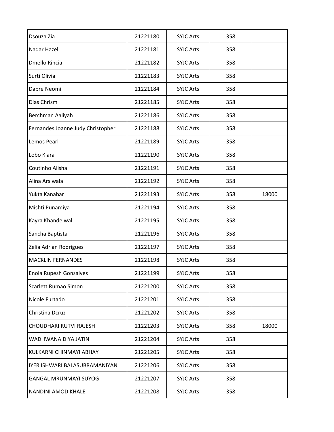| Dsouza Zia                        | 21221180 | <b>SYJC Arts</b> | 358 |       |
|-----------------------------------|----------|------------------|-----|-------|
| Nadar Hazel                       | 21221181 | <b>SYJC Arts</b> | 358 |       |
| <b>Dmello Rincia</b>              | 21221182 | <b>SYJC Arts</b> | 358 |       |
| Surti Olivia                      | 21221183 | <b>SYJC Arts</b> | 358 |       |
| Dabre Neomi                       | 21221184 | <b>SYJC Arts</b> | 358 |       |
| Dias Chrism                       | 21221185 | <b>SYJC Arts</b> | 358 |       |
| Berchman Aaliyah                  | 21221186 | <b>SYJC Arts</b> | 358 |       |
| Fernandes Joanne Judy Christopher | 21221188 | <b>SYJC Arts</b> | 358 |       |
| Lemos Pearl                       | 21221189 | <b>SYJC Arts</b> | 358 |       |
| Lobo Kiara                        | 21221190 | <b>SYJC Arts</b> | 358 |       |
| Coutinho Alisha                   | 21221191 | <b>SYJC Arts</b> | 358 |       |
| Alina Arsiwala                    | 21221192 | <b>SYJC Arts</b> | 358 |       |
| Yukta Kanabar                     | 21221193 | <b>SYJC Arts</b> | 358 | 18000 |
| Mishti Punamiya                   | 21221194 | <b>SYJC Arts</b> | 358 |       |
| Kayra Khandelwal                  | 21221195 | <b>SYJC Arts</b> | 358 |       |
| Sancha Baptista                   | 21221196 | <b>SYJC Arts</b> | 358 |       |
| Zelia Adrian Rodrigues            | 21221197 | <b>SYJC Arts</b> | 358 |       |
| <b>MACKLIN FERNANDES</b>          | 21221198 | <b>SYJC Arts</b> | 358 |       |
| Enola Rupesh Gonsalves            | 21221199 | <b>SYJC Arts</b> | 358 |       |
| Scarlett Rumao Simon              | 21221200 | <b>SYJC Arts</b> | 358 |       |
| Nicole Furtado                    | 21221201 | <b>SYJC Arts</b> | 358 |       |
| Christina Dcruz                   | 21221202 | <b>SYJC Arts</b> | 358 |       |
| CHOUDHARI RUTVI RAJESH            | 21221203 | <b>SYJC Arts</b> | 358 | 18000 |
| WADHWANA DIYA JATIN               | 21221204 | <b>SYJC Arts</b> | 358 |       |
| KULKARNI CHINMAYI ABHAY           | 21221205 | <b>SYJC Arts</b> | 358 |       |
| IYER ISHWARI BALASUBRAMANIYAN     | 21221206 | <b>SYJC Arts</b> | 358 |       |
| <b>GANGAL MRUNMAYI SUYOG</b>      | 21221207 | <b>SYJC Arts</b> | 358 |       |
| NANDINI AMOD KHALE                | 21221208 | <b>SYJC Arts</b> | 358 |       |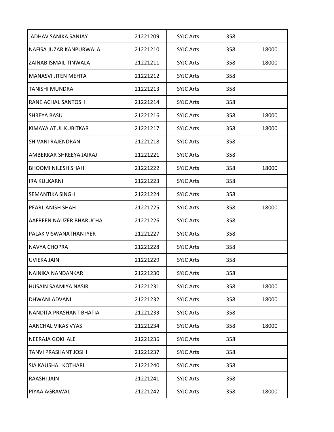| JADHAV SANIKA SANJAY         | 21221209 | <b>SYJC Arts</b> | 358 |       |
|------------------------------|----------|------------------|-----|-------|
| NAFISA JUZAR KANPURWALA      | 21221210 | <b>SYJC Arts</b> | 358 | 18000 |
| <b>ZAINAB ISMAIL TINWALA</b> | 21221211 | <b>SYJC Arts</b> | 358 | 18000 |
| <b>MANASVI JITEN MEHTA</b>   | 21221212 | <b>SYJC Arts</b> | 358 |       |
| <b>TANISHI MUNDRA</b>        | 21221213 | <b>SYJC Arts</b> | 358 |       |
| <b>RANE ACHAL SANTOSH</b>    | 21221214 | <b>SYJC Arts</b> | 358 |       |
| <b>SHREYA BASU</b>           | 21221216 | <b>SYJC Arts</b> | 358 | 18000 |
| KIMAYA ATUL KUBITKAR         | 21221217 | <b>SYJC Arts</b> | 358 | 18000 |
| <b>SHIVANI RAJENDRAN</b>     | 21221218 | <b>SYJC Arts</b> | 358 |       |
| AMBERKAR SHREEYA JAIRAJ      | 21221221 | <b>SYJC Arts</b> | 358 |       |
| <b>BHOOMI NILESH SHAH</b>    | 21221222 | <b>SYJC Arts</b> | 358 | 18000 |
| <b>IRA KULKARNI</b>          | 21221223 | <b>SYJC Arts</b> | 358 |       |
| <b>SEMANTIKA SINGH</b>       | 21221224 | <b>SYJC Arts</b> | 358 |       |
| <b>PEARL ANISH SHAH</b>      | 21221225 | <b>SYJC Arts</b> | 358 | 18000 |
| AAFREEN NAUZER BHARUCHA      | 21221226 | <b>SYJC Arts</b> | 358 |       |
| PALAK VISWANATHAN IYER       | 21221227 | <b>SYJC Arts</b> | 358 |       |
| <b>NAVYA CHOPRA</b>          | 21221228 | <b>SYJC Arts</b> | 358 |       |
| UVIEKA JAIN                  | 21221229 | <b>SYJC Arts</b> | 358 |       |
| NAINIKA NANDANKAR            | 21221230 | <b>SYJC Arts</b> | 358 |       |
| <b>HUSAIN SAAMIYA NASIR</b>  | 21221231 | <b>SYJC Arts</b> | 358 | 18000 |
| <b>DHWANI ADVANI</b>         | 21221232 | <b>SYJC Arts</b> | 358 | 18000 |
| NANDITA PRASHANT BHATIA      | 21221233 | <b>SYJC Arts</b> | 358 |       |
| <b>AANCHAL VIKAS VYAS</b>    | 21221234 | <b>SYJC Arts</b> | 358 | 18000 |
| <b>NEERAJA GOKHALE</b>       | 21221236 | <b>SYJC Arts</b> | 358 |       |
| <b>TANVI PRASHANT JOSHI</b>  | 21221237 | <b>SYJC Arts</b> | 358 |       |
| ISIA KAUSHAL KOTHARI         | 21221240 | <b>SYJC Arts</b> | 358 |       |
| RAASHI JAIN                  | 21221241 | <b>SYJC Arts</b> | 358 |       |
| PIYAA AGRAWAL                | 21221242 | <b>SYJC Arts</b> | 358 | 18000 |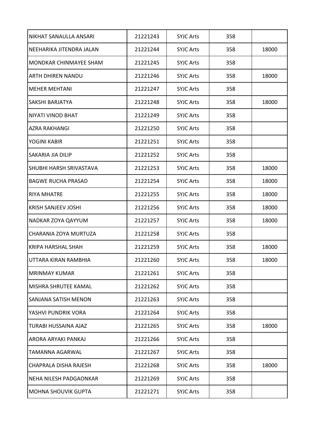| NIKHAT SANAULLA ANSARI        | 21221243 | <b>SYJC Arts</b> | 358 |       |
|-------------------------------|----------|------------------|-----|-------|
| NEEHARIKA JITENDRA JALAN      | 21221244 | <b>SYJC Arts</b> | 358 | 18000 |
| <b>MONDKAR CHINMAYEE SHAM</b> | 21221245 | <b>SYJC Arts</b> | 358 |       |
| <b>ARTH DHIREN NANDU</b>      | 21221246 | <b>SYJC Arts</b> | 358 | 18000 |
| <b>MEHER MEHTANI</b>          | 21221247 | <b>SYJC Arts</b> | 358 |       |
| <b>SAKSHI BARJATYA</b>        | 21221248 | <b>SYJC Arts</b> | 358 | 18000 |
| NIYATI VINOD BHAT             | 21221249 | <b>SYJC Arts</b> | 358 |       |
| <b>AZRA RAKHANGI</b>          | 21221250 | <b>SYJC Arts</b> | 358 |       |
| YOGINI KABIR                  | 21221251 | <b>SYJC Arts</b> | 358 |       |
| <b>SAKARIA JIA DILIP</b>      | 21221252 | <b>SYJC Arts</b> | 358 |       |
| SHUBHI HARSH SRIVASTAVA       | 21221253 | <b>SYJC Arts</b> | 358 | 18000 |
| <b>BAGWE RUCHA PRASAD</b>     | 21221254 | <b>SYJC Arts</b> | 358 | 18000 |
| <b>RIYA MHATRE</b>            | 21221255 | <b>SYJC Arts</b> | 358 | 18000 |
| <b>KRISH SANJEEV JOSHI</b>    | 21221256 | <b>SYJC Arts</b> | 358 | 18000 |
| NADKAR ZOYA QAYYUM            | 21221257 | <b>SYJC Arts</b> | 358 | 18000 |
| CHARANIA ZOYA MURTUZA         | 21221258 | <b>SYJC Arts</b> | 358 |       |
| <b>KRIPA HARSHAL SHAH</b>     | 21221259 | <b>SYJC Arts</b> | 358 | 18000 |
| UTTARA KIRAN RAMBHIA          | 21221260 | <b>SYJC Arts</b> | 358 | 18000 |
| MRINMAY KUMAR                 | 21221261 | <b>SYJC Arts</b> | 358 |       |
| MISHRA SHRUTEE KAMAL          | 21221262 | <b>SYJC Arts</b> | 358 |       |
| <b>SANJANA SATISH MENON</b>   | 21221263 | <b>SYJC Arts</b> | 358 |       |
| YASHVI PUNDRIK VORA           | 21221264 | <b>SYJC Arts</b> | 358 |       |
| <b>TURABI HUSSAINA AJAZ</b>   | 21221265 | <b>SYJC Arts</b> | 358 | 18000 |
| ARORA ARYAKI PANKAJ           | 21221266 | <b>SYJC Arts</b> | 358 |       |
| <b>TAMANNA AGARWAL</b>        | 21221267 | <b>SYJC Arts</b> | 358 |       |
| <b>CHAPRALA DISHA RAJESH</b>  | 21221268 | <b>SYJC Arts</b> | 358 | 18000 |
| NEHA NILESH PADGAONKAR        | 21221269 | <b>SYJC Arts</b> | 358 |       |
| <b>MOHNA SHOUVIK GUPTA</b>    | 21221271 | <b>SYJC Arts</b> | 358 |       |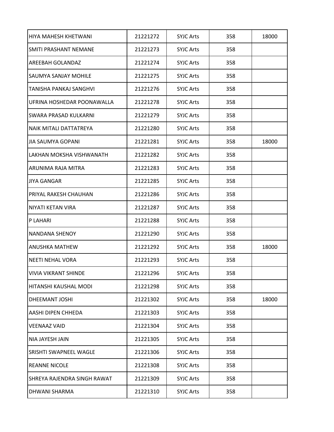| HIYA MAHESH KHETWANI               | 21221272 | <b>SYJC Arts</b> | 358 | 18000 |
|------------------------------------|----------|------------------|-----|-------|
| <b>SMITI PRASHANT NEMANE</b>       | 21221273 | <b>SYJC Arts</b> | 358 |       |
| <b>AREEBAH GOLANDAZ</b>            | 21221274 | <b>SYJC Arts</b> | 358 |       |
| <b>SAUMYA SANJAY MOHILE</b>        | 21221275 | <b>SYJC Arts</b> | 358 |       |
| TANISHA PANKAJ SANGHVI             | 21221276 | <b>SYJC Arts</b> | 358 |       |
| UFRINA HOSHEDAR POONAWALLA         | 21221278 | <b>SYJC Arts</b> | 358 |       |
| <b>SWARA PRASAD KULKARNI</b>       | 21221279 | <b>SYJC Arts</b> | 358 |       |
| NAIK MITALI DATTATREYA             | 21221280 | <b>SYJC Arts</b> | 358 |       |
| <b>JIA SAUMYA GOPANI</b>           | 21221281 | <b>SYJC Arts</b> | 358 | 18000 |
| LAKHAN MOKSHA VISHWANATH           | 21221282 | <b>SYJC Arts</b> | 358 |       |
| ARUNIMA RAJA MITRA                 | 21221283 | <b>SYJC Arts</b> | 358 |       |
| IJIYA GANGAR                       | 21221285 | <b>SYJC Arts</b> | 358 |       |
| <b>PRIYAL RAKESH CHAUHAN</b>       | 21221286 | <b>SYJC Arts</b> | 358 |       |
| <b>NIYATI KETAN VIRA</b>           | 21221287 | <b>SYJC Arts</b> | 358 |       |
| P LAHARI                           | 21221288 | <b>SYJC Arts</b> | 358 |       |
| NANDANA SHENOY                     | 21221290 | <b>SYJC Arts</b> | 358 |       |
| <b>ANUSHKA MATHEW</b>              | 21221292 | <b>SYJC Arts</b> | 358 | 18000 |
| NEETI NEHAL VORA                   | 21221293 | <b>SYJC Arts</b> | 358 |       |
| <b>VIVIA VIKRANT SHINDE</b>        | 21221296 | <b>SYJC Arts</b> | 358 |       |
| HITANSHI KAUSHAL MODI              | 21221298 | <b>SYJC Arts</b> | 358 |       |
| DHEEMANT JOSHI                     | 21221302 | <b>SYJC Arts</b> | 358 | 18000 |
| <b>AASHI DIPEN CHHEDA</b>          | 21221303 | <b>SYJC Arts</b> | 358 |       |
| lVEENAAZ VAID                      | 21221304 | <b>SYJC Arts</b> | 358 |       |
| NIA JAYESH JAIN                    | 21221305 | <b>SYJC Arts</b> | 358 |       |
| <b>SRISHTI SWAPNEEL WAGLE</b>      | 21221306 | <b>SYJC Arts</b> | 358 |       |
| <b>REANNE NICOLE</b>               | 21221308 | <b>SYJC Arts</b> | 358 |       |
| <b>SHREYA RAJENDRA SINGH RAWAT</b> | 21221309 | <b>SYJC Arts</b> | 358 |       |
| <b>DHWANI SHARMA</b>               | 21221310 | <b>SYJC Arts</b> | 358 |       |
|                                    |          |                  |     |       |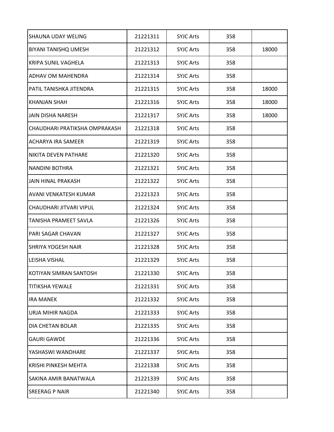| <b>SHAUNA UDAY WELING</b>      | 21221311 | <b>SYJC Arts</b> | 358 |       |
|--------------------------------|----------|------------------|-----|-------|
| <b>BIYANI TANISHQ UMESH</b>    | 21221312 | <b>SYJC Arts</b> | 358 | 18000 |
| KRIPA SUNIL VAGHELA            | 21221313 | <b>SYJC Arts</b> | 358 |       |
| <b>ADHAV OM MAHENDRA</b>       | 21221314 | <b>SYJC Arts</b> | 358 |       |
| PATIL TANISHKA JITENDRA        | 21221315 | <b>SYJC Arts</b> | 358 | 18000 |
| <b>KHANJAN SHAH</b>            | 21221316 | <b>SYJC Arts</b> | 358 | 18000 |
| JAIN DISHA NARESH              | 21221317 | <b>SYJC Arts</b> | 358 | 18000 |
| CHAUDHARI PRATIKSHA OMPRAKASH  | 21221318 | <b>SYJC Arts</b> | 358 |       |
| <b>ACHARYA IRA SAMEER</b>      | 21221319 | <b>SYJC Arts</b> | 358 |       |
| NIKITA DEVEN PATHARE           | 21221320 | <b>SYJC Arts</b> | 358 |       |
| <b>NANDINI BOTHRA</b>          | 21221321 | <b>SYJC Arts</b> | 358 |       |
| JAIN HINAL PRAKASH             | 21221322 | <b>SYJC Arts</b> | 358 |       |
| <b>AVANI VENKATESH KUMAR</b>   | 21221323 | <b>SYJC Arts</b> | 358 |       |
| <b>CHAUDHARI JITVARI VIPUL</b> | 21221324 | <b>SYJC Arts</b> | 358 |       |
| <b>TANISHA PRAMEET SAVLA</b>   | 21221326 | <b>SYJC Arts</b> | 358 |       |
| <b>PARI SAGAR CHAVAN</b>       | 21221327 | <b>SYJC Arts</b> | 358 |       |
| <b>SHRIYA YOGESH NAIR</b>      | 21221328 | <b>SYJC Arts</b> | 358 |       |
| lleisha Vishal                 | 21221329 | <b>SYJC Arts</b> | 358 |       |
| KOTIYAN SIMRAN SANTOSH         | 21221330 | <b>SYJC Arts</b> | 358 |       |
| <b>TITIKSHA YEWALE</b>         | 21221331 | <b>SYJC Arts</b> | 358 |       |
| <b>IRA MANEK</b>               | 21221332 | <b>SYJC Arts</b> | 358 |       |
| <b>URJA MIHIR NAGDA</b>        | 21221333 | <b>SYJC Arts</b> | 358 |       |
| <b>DIA CHETAN BOLAR</b>        | 21221335 | <b>SYJC Arts</b> | 358 |       |
| <b>GAURI GAWDE</b>             | 21221336 | <b>SYJC Arts</b> | 358 |       |
| YASHASWI WANDHARE              | 21221337 | <b>SYJC Arts</b> | 358 |       |
| <b>KRISHI PINKESH MEHTA</b>    | 21221338 | <b>SYJC Arts</b> | 358 |       |
| SAKINA AMIR BANATWALA          | 21221339 | <b>SYJC Arts</b> | 358 |       |
| <b>SREERAG P NAIR</b>          | 21221340 | <b>SYJC Arts</b> | 358 |       |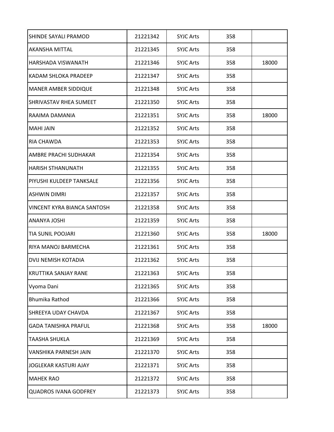| SHINDE SAYALI PRAMOD          | 21221342 | <b>SYJC Arts</b> | 358 |       |
|-------------------------------|----------|------------------|-----|-------|
| AKANSHA MITTAL                | 21221345 | <b>SYJC Arts</b> | 358 |       |
| <b>HARSHADA VISWANATH</b>     | 21221346 | <b>SYJC Arts</b> | 358 | 18000 |
| KADAM SHLOKA PRADEEP          | 21221347 | <b>SYJC Arts</b> | 358 |       |
| <b>MANER AMBER SIDDIQUE</b>   | 21221348 | <b>SYJC Arts</b> | 358 |       |
| <b>SHRIVASTAV RHEA SUMEET</b> | 21221350 | <b>SYJC Arts</b> | 358 |       |
| RAAIMA DAMANIA                | 21221351 | <b>SYJC Arts</b> | 358 | 18000 |
| <b>MAHI JAIN</b>              | 21221352 | <b>SYJC Arts</b> | 358 |       |
| <b>RIA CHAWDA</b>             | 21221353 | <b>SYJC Arts</b> | 358 |       |
| <b>AMBRE PRACHI SUDHAKAR</b>  | 21221354 | <b>SYJC Arts</b> | 358 |       |
| <b>HARISH STHANUNATH</b>      | 21221355 | <b>SYJC Arts</b> | 358 |       |
| PIYUSHI KULDEEP TANKSALE      | 21221356 | <b>SYJC Arts</b> | 358 |       |
| <b>ASHWIN DIMRI</b>           | 21221357 | <b>SYJC Arts</b> | 358 |       |
| VINCENT KYRA BIANCA SANTOSH   | 21221358 | <b>SYJC Arts</b> | 358 |       |
| <b>ANANYA JOSHI</b>           | 21221359 | <b>SYJC Arts</b> | 358 |       |
| <b>TIA SUNIL POOJARI</b>      | 21221360 | <b>SYJC Arts</b> | 358 | 18000 |
| RIYA MANOJ BARMECHA           | 21221361 | <b>SYJC Arts</b> | 358 |       |
| DVIJ NEMISH KOTADIA           | 21221362 | <b>SYJC Arts</b> | 358 |       |
| <b>KRUTTIKA SANJAY RANE</b>   | 21221363 | <b>SYJC Arts</b> | 358 |       |
| Vyoma Dani                    | 21221365 | <b>SYJC Arts</b> | 358 |       |
| <b>Bhumika Rathod</b>         | 21221366 | <b>SYJC Arts</b> | 358 |       |
| <b>SHREEYA UDAY CHAVDA</b>    | 21221367 | <b>SYJC Arts</b> | 358 |       |
| <b>GADA TANISHKA PRAFUL</b>   | 21221368 | <b>SYJC Arts</b> | 358 | 18000 |
| <b>TAASHA SHUKLA</b>          | 21221369 | <b>SYJC Arts</b> | 358 |       |
| <b>VANSHIKA PARNESH JAIN</b>  | 21221370 | <b>SYJC Arts</b> | 358 |       |
| JOGLEKAR KASTURI AJAY         | 21221371 | <b>SYJC Arts</b> | 358 |       |
| <b>MAHEK RAO</b>              | 21221372 | <b>SYJC Arts</b> | 358 |       |
| <b>QUADROS IVANA GODFREY</b>  | 21221373 | <b>SYJC Arts</b> | 358 |       |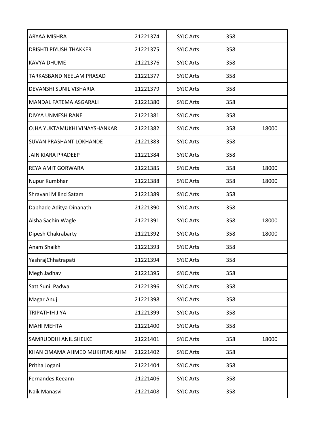| ARYAA MISHRA                   | 21221374 | <b>SYJC Arts</b> | 358 |       |
|--------------------------------|----------|------------------|-----|-------|
| <b>DRISHTI PIYUSH THAKKER</b>  | 21221375 | <b>SYJC Arts</b> | 358 |       |
| <b>KAVYA DHUME</b>             | 21221376 | <b>SYJC Arts</b> | 358 |       |
| TARKASBAND NEELAM PRASAD       | 21221377 | <b>SYJC Arts</b> | 358 |       |
| DEVANSHI SUNIL VISHARIA        | 21221379 | <b>SYJC Arts</b> | 358 |       |
| MANDAL FATEMA ASGARALI         | 21221380 | <b>SYJC Arts</b> | 358 |       |
| DIVYA UNMESH RANE              | 21221381 | <b>SYJC Arts</b> | 358 |       |
| OJHA YUKTAMUKHI VINAYSHANKAR   | 21221382 | <b>SYJC Arts</b> | 358 | 18000 |
| <b>SUVAN PRASHANT LOKHANDE</b> | 21221383 | <b>SYJC Arts</b> | 358 |       |
| <b>JAIN KIARA PRADEEP</b>      | 21221384 | <b>SYJC Arts</b> | 358 |       |
| <b>REYA AMIT GORWARA</b>       | 21221385 | <b>SYJC Arts</b> | 358 | 18000 |
| Nupur Kumbhar                  | 21221388 | <b>SYJC Arts</b> | 358 | 18000 |
| Shravani Milind Satam          | 21221389 | <b>SYJC Arts</b> | 358 |       |
| Dabhade Aditya Dinanath        | 21221390 | <b>SYJC Arts</b> | 358 |       |
| Aisha Sachin Wagle             | 21221391 | <b>SYJC Arts</b> | 358 | 18000 |
| Dipesh Chakrabarty             | 21221392 | <b>SYJC Arts</b> | 358 | 18000 |
| Anam Shaikh                    | 21221393 | <b>SYJC Arts</b> | 358 |       |
| YashrajChhatrapati             | 21221394 | <b>SYJC Arts</b> | 358 |       |
| Megh Jadhav                    | 21221395 | <b>SYJC Arts</b> | 358 |       |
| Satt Sunil Padwal              | 21221396 | <b>SYJC Arts</b> | 358 |       |
| Magar Anuj                     | 21221398 | <b>SYJC Arts</b> | 358 |       |
| <b>TRIPATHIH JIYA</b>          | 21221399 | <b>SYJC Arts</b> | 358 |       |
| <b>MAHI MEHTA</b>              | 21221400 | <b>SYJC Arts</b> | 358 |       |
| <b>SAMRUDDHI ANIL SHELKE</b>   | 21221401 | <b>SYJC Arts</b> | 358 | 18000 |
| KHAN OMAMA AHMED MUKHTAR AHM   | 21221402 | <b>SYJC Arts</b> | 358 |       |
| Pritha Jogani                  | 21221404 | <b>SYJC Arts</b> | 358 |       |
| Fernandes Keeann               | 21221406 | <b>SYJC Arts</b> | 358 |       |
| Naik Manasvi                   | 21221408 | <b>SYJC Arts</b> | 358 |       |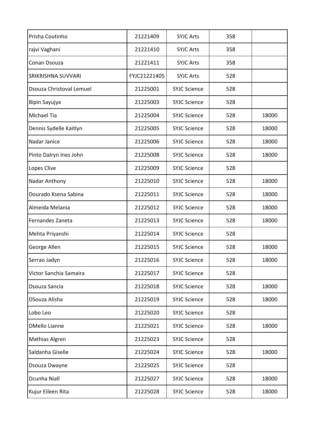| Prisha Coutinho          | 21221409     | <b>SYJC Arts</b>    | 358 |       |
|--------------------------|--------------|---------------------|-----|-------|
| rajvi Vaghani            | 21221410     | <b>SYJC Arts</b>    | 358 |       |
| Conan Dsouza             | 21221411     | <b>SYJC Arts</b>    | 358 |       |
| SRIKRISHNA SUVVARI       | FYJC21221405 | <b>SYJC Arts</b>    | 528 |       |
| Dsouza Christoval Lemuel | 21225001     | <b>SYJC Science</b> | 528 |       |
| Bipin Sayujya            | 21225003     | <b>SYJC Science</b> | 528 |       |
| Michael Tia              | 21225004     | <b>SYJC Science</b> | 528 | 18000 |
| Dennis Sydelle Kaitlyn   | 21225005     | <b>SYJC Science</b> | 528 | 18000 |
| Nadar Janice             | 21225006     | <b>SYJC Science</b> | 528 | 18000 |
| Pinto Dalryn Ines John   | 21225008     | <b>SYJC Science</b> | 528 | 18000 |
| Lopes Clive              | 21225009     | <b>SYJC Science</b> | 528 |       |
| Nadar Anthony            | 21225010     | <b>SYJC Science</b> | 528 | 18000 |
| Dourado Ksena Sabina     | 21225011     | <b>SYJC Science</b> | 528 | 18000 |
| Almeida Melania          | 21225012     | <b>SYJC Science</b> | 528 | 18000 |
| Fernandes Zaneta         | 21225013     | <b>SYJC Science</b> | 528 | 18000 |
| Mehta Priyanshi          | 21225014     | <b>SYJC Science</b> | 528 |       |
| George Allen             | 21225015     | <b>SYJC Science</b> | 528 | 18000 |
| Serrao Jadyn             | 21225016     | <b>SYJC Science</b> | 528 | 18000 |
| Victor Sanchia Samaira   | 21225017     | <b>SYJC Science</b> | 528 |       |
| Dsouza Sancia            | 21225018     | <b>SYJC Science</b> | 528 | 18000 |
| DSouza Alisha            | 21225019     | <b>SYJC Science</b> | 528 | 18000 |
| Lobo Leo                 | 21225020     | <b>SYJC Science</b> | 528 |       |
| <b>DMello Lianne</b>     | 21225021     | <b>SYJC Science</b> | 528 | 18000 |
| Mathias Algren           | 21225023     | <b>SYJC Science</b> | 528 |       |
| Saldanha Giselle         | 21225024     | <b>SYJC Science</b> | 528 | 18000 |
| Dsouza Dwayne            | 21225025     | <b>SYJC Science</b> | 528 |       |
| Dcunha Niall             | 21225027     | <b>SYJC Science</b> | 528 | 18000 |
| Kujur Eileen Rita        | 21225028     | <b>SYJC Science</b> | 528 | 18000 |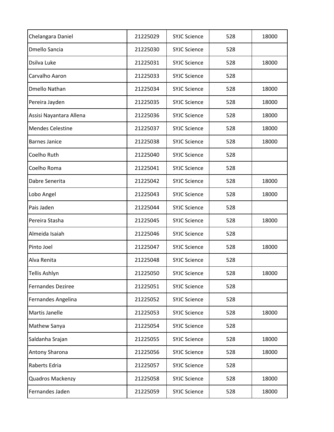| Chelangara Daniel       | 21225029 | <b>SYJC Science</b> | 528 | 18000 |
|-------------------------|----------|---------------------|-----|-------|
| Dmello Sancia           | 21225030 | <b>SYJC Science</b> | 528 |       |
| Dsilva Luke             | 21225031 | <b>SYJC Science</b> | 528 | 18000 |
| Carvalho Aaron          | 21225033 | <b>SYJC Science</b> | 528 |       |
| <b>Dmello Nathan</b>    | 21225034 | <b>SYJC Science</b> | 528 | 18000 |
| Pereira Jayden          | 21225035 | <b>SYJC Science</b> | 528 | 18000 |
| Assisi Nayantara Allena | 21225036 | <b>SYJC Science</b> | 528 | 18000 |
| <b>Mendes Celestine</b> | 21225037 | <b>SYJC Science</b> | 528 | 18000 |
| <b>Barnes Janice</b>    | 21225038 | <b>SYJC Science</b> | 528 | 18000 |
| Coelho Ruth             | 21225040 | <b>SYJC Science</b> | 528 |       |
| Coelho Roma             | 21225041 | <b>SYJC Science</b> | 528 |       |
| Dabre Senerita          | 21225042 | <b>SYJC Science</b> | 528 | 18000 |
| Lobo Angel              | 21225043 | <b>SYJC Science</b> | 528 | 18000 |
| Pais Jaden              | 21225044 | <b>SYJC Science</b> | 528 |       |
| Pereira Stasha          | 21225045 | <b>SYJC Science</b> | 528 | 18000 |
| Almeida Isaiah          | 21225046 | <b>SYJC Science</b> | 528 |       |
| Pinto Joel              | 21225047 | <b>SYJC Science</b> | 528 | 18000 |
| Alva Renita             | 21225048 | <b>SYJC Science</b> | 528 |       |
| Tellis Ashlyn           | 21225050 | <b>SYJC Science</b> | 528 | 18000 |
| Fernandes Deziree       | 21225051 | <b>SYJC Science</b> | 528 |       |
| Fernandes Angelina      | 21225052 | <b>SYJC Science</b> | 528 |       |
| Martis Janelle          | 21225053 | <b>SYJC Science</b> | 528 | 18000 |
| Mathew Sanya            | 21225054 | <b>SYJC Science</b> | 528 |       |
| Saldanha Srajan         | 21225055 | <b>SYJC Science</b> | 528 | 18000 |
| Antony Sharona          | 21225056 | <b>SYJC Science</b> | 528 | 18000 |
| Raberts Edria           | 21225057 | <b>SYJC Science</b> | 528 |       |
| Quadros Mackenzy        | 21225058 | <b>SYJC Science</b> | 528 | 18000 |
| Fernandes Jaden         | 21225059 | <b>SYJC Science</b> | 528 | 18000 |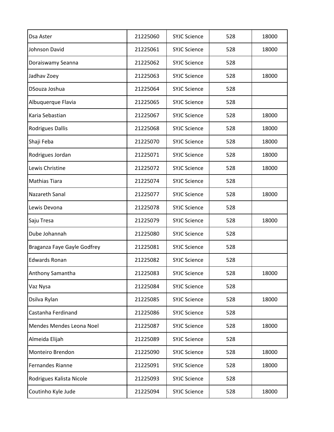| Dsa Aster                   | 21225060 | <b>SYJC Science</b> | 528 | 18000 |
|-----------------------------|----------|---------------------|-----|-------|
| Johnson David               | 21225061 | <b>SYJC Science</b> | 528 | 18000 |
| Doraiswamy Seanna           | 21225062 | <b>SYJC Science</b> | 528 |       |
| Jadhav Zoey                 | 21225063 | <b>SYJC Science</b> | 528 | 18000 |
| DSouza Joshua               | 21225064 | <b>SYJC Science</b> | 528 |       |
| Albuquerque Flavia          | 21225065 | <b>SYJC Science</b> | 528 |       |
| Karia Sebastian             | 21225067 | <b>SYJC Science</b> | 528 | 18000 |
| <b>Rodrigues Dallis</b>     | 21225068 | <b>SYJC Science</b> | 528 | 18000 |
| Shaji Feba                  | 21225070 | <b>SYJC Science</b> | 528 | 18000 |
| Rodrigues Jordan            | 21225071 | <b>SYJC Science</b> | 528 | 18000 |
| Lewis Christine             | 21225072 | <b>SYJC Science</b> | 528 | 18000 |
| <b>Mathias Tiara</b>        | 21225074 | <b>SYJC Science</b> | 528 |       |
| Nazareth Sanal              | 21225077 | <b>SYJC Science</b> | 528 | 18000 |
| Lewis Devona                | 21225078 | <b>SYJC Science</b> | 528 |       |
| Saju Tresa                  | 21225079 | <b>SYJC Science</b> | 528 | 18000 |
| Dube Johannah               | 21225080 | <b>SYJC Science</b> | 528 |       |
| Braganza Faye Gayle Godfrey | 21225081 | <b>SYJC Science</b> | 528 |       |
| <b>Edwards Ronan</b>        | 21225082 | <b>SYJC Science</b> | 528 |       |
| Anthony Samantha            | 21225083 | <b>SYJC Science</b> | 528 | 18000 |
| Vaz Nysa                    | 21225084 | <b>SYJC Science</b> | 528 |       |
| Dsilva Rylan                | 21225085 | <b>SYJC Science</b> | 528 | 18000 |
| Castanha Ferdinand          | 21225086 | <b>SYJC Science</b> | 528 |       |
| Mendes Mendes Leona Noel    | 21225087 | <b>SYJC Science</b> | 528 | 18000 |
| Almeida Elijah              | 21225089 | <b>SYJC Science</b> | 528 |       |
| Monteiro Brendon            | 21225090 | <b>SYJC Science</b> | 528 | 18000 |
| Fernandes Rianne            | 21225091 | <b>SYJC Science</b> | 528 | 18000 |
| Rodrigues Kalista Nicole    | 21225093 | <b>SYJC Science</b> | 528 |       |
| Coutinho Kyle Jude          | 21225094 | <b>SYJC Science</b> | 528 | 18000 |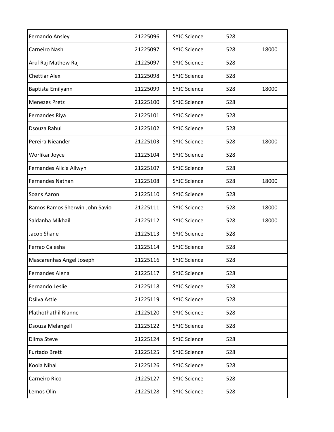| Fernando Ansley                | 21225096 | <b>SYJC Science</b> | 528 |       |
|--------------------------------|----------|---------------------|-----|-------|
| Carneiro Nash                  | 21225097 | <b>SYJC Science</b> | 528 | 18000 |
| Arul Raj Mathew Raj            | 21225097 | <b>SYJC Science</b> | 528 |       |
| <b>Chettiar Alex</b>           | 21225098 | <b>SYJC Science</b> | 528 |       |
| Baptista Emilyann              | 21225099 | <b>SYJC Science</b> | 528 | 18000 |
| <b>Menezes Pretz</b>           | 21225100 | <b>SYJC Science</b> | 528 |       |
| Fernandes Riya                 | 21225101 | <b>SYJC Science</b> | 528 |       |
| Dsouza Rahul                   | 21225102 | <b>SYJC Science</b> | 528 |       |
| Pereira Nieander               | 21225103 | <b>SYJC Science</b> | 528 | 18000 |
| Worlikar Joyce                 | 21225104 | <b>SYJC Science</b> | 528 |       |
| Fernandes Alicia Allwyn        | 21225107 | <b>SYJC Science</b> | 528 |       |
| <b>Fernandes Nathan</b>        | 21225108 | <b>SYJC Science</b> | 528 | 18000 |
| Soans Aaron                    | 21225110 | <b>SYJC Science</b> | 528 |       |
| Ramos Ramos Sherwin John Savio | 21225111 | <b>SYJC Science</b> | 528 | 18000 |
| Saldanha Mikhail               | 21225112 | <b>SYJC Science</b> | 528 | 18000 |
| Jacob Shane                    | 21225113 | <b>SYJC Science</b> | 528 |       |
| Ferrao Caiesha                 | 21225114 | <b>SYJC Science</b> | 528 |       |
| Mascarenhas Angel Joseph       | 21225116 | <b>SYJC Science</b> | 528 |       |
| Fernandes Alena                | 21225117 | <b>SYJC Science</b> | 528 |       |
| Fernando Leslie                | 21225118 | <b>SYJC Science</b> | 528 |       |
| Dsilva Astle                   | 21225119 | <b>SYJC Science</b> | 528 |       |
| Plathothathil Rianne           | 21225120 | <b>SYJC Science</b> | 528 |       |
| Dsouza Melangell               | 21225122 | <b>SYJC Science</b> | 528 |       |
| <b>Dlima Steve</b>             | 21225124 | <b>SYJC Science</b> | 528 |       |
| Furtado Brett                  | 21225125 | <b>SYJC Science</b> | 528 |       |
| Koola Nihal                    | 21225126 | <b>SYJC Science</b> | 528 |       |
| Carneiro Rico                  | 21225127 | <b>SYJC Science</b> | 528 |       |
| Lemos Olin                     | 21225128 | <b>SYJC Science</b> | 528 |       |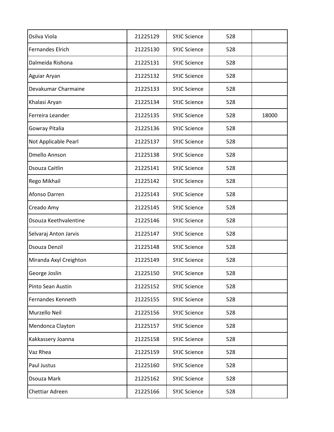| Dsilva Viola            | 21225129 | <b>SYJC Science</b> | 528 |       |
|-------------------------|----------|---------------------|-----|-------|
| <b>Fernandes Elrich</b> | 21225130 | <b>SYJC Science</b> | 528 |       |
| Dalmeida Rishona        | 21225131 | <b>SYJC Science</b> | 528 |       |
| Aguiar Aryan            | 21225132 | <b>SYJC Science</b> | 528 |       |
| Devakumar Charmaine     | 21225133 | <b>SYJC Science</b> | 528 |       |
| Khalasi Aryan           | 21225134 | <b>SYJC Science</b> | 528 |       |
| Ferreira Leander        | 21225135 | <b>SYJC Science</b> | 528 | 18000 |
| Gowray Pitalia          | 21225136 | <b>SYJC Science</b> | 528 |       |
| Not Applicable Pearl    | 21225137 | <b>SYJC Science</b> | 528 |       |
| <b>Dmello Annson</b>    | 21225138 | <b>SYJC Science</b> | 528 |       |
| Dsouza Caitlin          | 21225141 | <b>SYJC Science</b> | 528 |       |
| Rego Mikhail            | 21225142 | <b>SYJC Science</b> | 528 |       |
| Afonso Darren           | 21225143 | <b>SYJC Science</b> | 528 |       |
| Creado Amy              | 21225145 | <b>SYJC Science</b> | 528 |       |
| Dsouza Keethvalentine   | 21225146 | <b>SYJC Science</b> | 528 |       |
| Selvaraj Anton Jarvis   | 21225147 | <b>SYJC Science</b> | 528 |       |
| <b>Dsouza Denzil</b>    | 21225148 | <b>SYJC Science</b> | 528 |       |
| Miranda Axyl Creighton  | 21225149 | <b>SYJC Science</b> | 528 |       |
| George Joslin           | 21225150 | <b>SYJC Science</b> | 528 |       |
| Pinto Sean Austin       | 21225152 | <b>SYJC Science</b> | 528 |       |
| Fernandes Kenneth       | 21225155 | <b>SYJC Science</b> | 528 |       |
| Murzello Neil           | 21225156 | <b>SYJC Science</b> | 528 |       |
| Mendonca Clayton        | 21225157 | <b>SYJC Science</b> | 528 |       |
| Kakkassery Joanna       | 21225158 | <b>SYJC Science</b> | 528 |       |
| Vaz Rhea                | 21225159 | <b>SYJC Science</b> | 528 |       |
| Paul Justus             | 21225160 | <b>SYJC Science</b> | 528 |       |
| Dsouza Mark             | 21225162 | <b>SYJC Science</b> | 528 |       |
| Chettiar Adreen         | 21225166 | <b>SYJC Science</b> | 528 |       |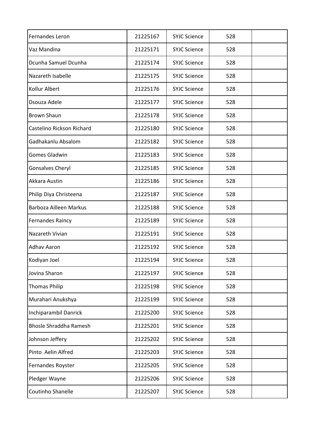| Fernandes Leron               | 21225167 | <b>SYJC Science</b> | 528 |  |
|-------------------------------|----------|---------------------|-----|--|
| Vaz Mandina                   | 21225171 | <b>SYJC Science</b> | 528 |  |
| Dcunha Samuel Dcunha          | 21225174 | <b>SYJC Science</b> | 528 |  |
| Nazareth Isabelle             | 21225175 | <b>SYJC Science</b> | 528 |  |
| Kollur Albert                 | 21225176 | <b>SYJC Science</b> | 528 |  |
| Dsouza Adele                  | 21225177 | <b>SYJC Science</b> | 528 |  |
| <b>Brown Shaun</b>            | 21225178 | <b>SYJC Science</b> | 528 |  |
| Castelino Rickson Richard     | 21225180 | <b>SYJC Science</b> | 528 |  |
| Gadhakanlu Absalom            | 21225182 | <b>SYJC Science</b> | 528 |  |
| Gomes Gladwin                 | 21225183 | <b>SYJC Science</b> | 528 |  |
| <b>Gonsalves Cheryl</b>       | 21225185 | <b>SYJC Science</b> | 528 |  |
| Akkara Austin                 | 21225186 | <b>SYJC Science</b> | 528 |  |
| Philip Diya Christeena        | 21225187 | <b>SYJC Science</b> | 528 |  |
| Barboza Ailleen Markus        | 21225188 | <b>SYJC Science</b> | 528 |  |
| <b>Fernandes Raincy</b>       | 21225189 | <b>SYJC Science</b> | 528 |  |
| Nazareth Vivian               | 21225191 | <b>SYJC Science</b> | 528 |  |
| <b>Adhav Aaron</b>            | 21225192 | <b>SYJC Science</b> | 528 |  |
| Kodiyan Joel                  | 21225194 | <b>SYJC Science</b> | 528 |  |
| Jovina Sharon                 | 21225197 | <b>SYJC Science</b> | 528 |  |
| <b>Thomas Philip</b>          | 21225198 | <b>SYJC Science</b> | 528 |  |
| Murahari Anukshya             | 21225199 | <b>SYJC Science</b> | 528 |  |
| Inchiparambil Danrick         | 21225200 | <b>SYJC Science</b> | 528 |  |
| <b>Bhosle Shraddha Ramesh</b> | 21225201 | <b>SYJC Science</b> | 528 |  |
| Johnson Jeffery               | 21225202 | <b>SYJC Science</b> | 528 |  |
| Pinto Aelin Alfred            | 21225203 | <b>SYJC Science</b> | 528 |  |
| Fernandes Royster             | 21225205 | <b>SYJC Science</b> | 528 |  |
| Pledger Wayne                 | 21225206 | <b>SYJC Science</b> | 528 |  |
| Coutinho Shanelle             | 21225207 | <b>SYJC Science</b> | 528 |  |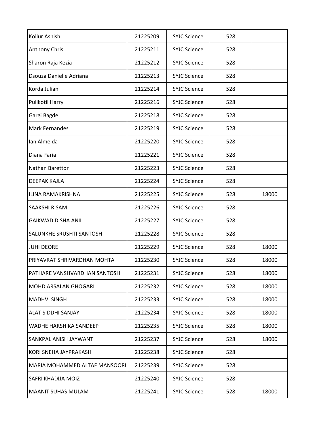| Kollur Ashish                   | 21225209 | <b>SYJC Science</b> | 528 |       |
|---------------------------------|----------|---------------------|-----|-------|
| Anthony Chris                   | 21225211 | <b>SYJC Science</b> | 528 |       |
| Sharon Raja Kezia               | 21225212 | <b>SYJC Science</b> | 528 |       |
| Dsouza Danielle Adriana         | 21225213 | <b>SYJC Science</b> | 528 |       |
| Korda Julian                    | 21225214 | <b>SYJC Science</b> | 528 |       |
| Pulikotil Harry                 | 21225216 | <b>SYJC Science</b> | 528 |       |
| Gargi Bagde                     | 21225218 | <b>SYJC Science</b> | 528 |       |
| <b>Mark Fernandes</b>           | 21225219 | <b>SYJC Science</b> | 528 |       |
| Ian Almeida                     | 21225220 | <b>SYJC Science</b> | 528 |       |
| Diana Faria                     | 21225221 | <b>SYJC Science</b> | 528 |       |
| Nathan Barettor                 | 21225223 | <b>SYJC Science</b> | 528 |       |
| <b>DEEPAK KAJLA</b>             | 21225224 | <b>SYJC Science</b> | 528 |       |
| ILINA RAMAKRISHNA               | 21225225 | <b>SYJC Science</b> | 528 | 18000 |
| SAAKSHI RISAM                   | 21225226 | <b>SYJC Science</b> | 528 |       |
| <b>GAIKWAD DISHA ANIL</b>       | 21225227 | <b>SYJC Science</b> | 528 |       |
| <b>SALUNKHE SRUSHTI SANTOSH</b> | 21225228 | <b>SYJC Science</b> | 528 |       |
| <b>JUHI DEORE</b>               | 21225229 | <b>SYJC Science</b> | 528 | 18000 |
| PRIYAVRAT SHRIVARDHAN MOHTA     | 21225230 | <b>SYJC Science</b> | 528 | 18000 |
| PATHARE VANSHVARDHAN SANTOSH    | 21225231 | <b>SYJC Science</b> | 528 | 18000 |
| <b>MOHD ARSALAN GHOGARI</b>     | 21225232 | <b>SYJC Science</b> | 528 | 18000 |
| <b>MADHVI SINGH</b>             | 21225233 | <b>SYJC Science</b> | 528 | 18000 |
| <b>ALAT SIDDHI SANJAY</b>       | 21225234 | <b>SYJC Science</b> | 528 | 18000 |
| <b>WADHE HARSHIKA SANDEEP</b>   | 21225235 | <b>SYJC Science</b> | 528 | 18000 |
| SANKPAL ANISH JAYWANT           | 21225237 | <b>SYJC Science</b> | 528 | 18000 |
| KORI SNEHA JAYPRAKASH           | 21225238 | <b>SYJC Science</b> | 528 |       |
| MARIA MOHAMMED ALTAF MANSOORI   | 21225239 | <b>SYJC Science</b> | 528 |       |
| <b>SAFRI KHADIJA MOIZ</b>       | 21225240 | <b>SYJC Science</b> | 528 |       |
| <b>MAANIT SUHAS MULAM</b>       | 21225241 | <b>SYJC Science</b> | 528 | 18000 |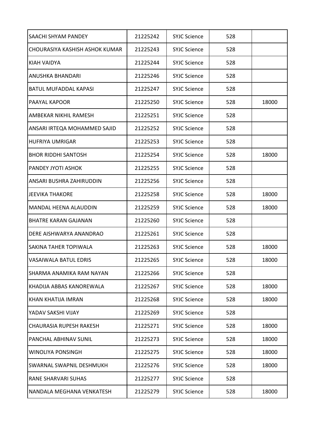| SAACHI SHYAM PANDEY            | 21225242 | <b>SYJC Science</b> | 528 |       |
|--------------------------------|----------|---------------------|-----|-------|
| CHOURASIYA KASHISH ASHOK KUMAR | 21225243 | <b>SYJC Science</b> | 528 |       |
| KIAH VAIDYA                    | 21225244 | <b>SYJC Science</b> | 528 |       |
| ANUSHKA BHANDARI               | 21225246 | <b>SYJC Science</b> | 528 |       |
| <b>BATUL MUFADDAL KAPASI</b>   | 21225247 | <b>SYJC Science</b> | 528 |       |
| PAAYAL KAPOOR                  | 21225250 | <b>SYJC Science</b> | 528 | 18000 |
| AMBEKAR NIKHIL RAMESH          | 21225251 | <b>SYJC Science</b> | 528 |       |
| ANSARI IRTEQA MOHAMMED SAJID   | 21225252 | <b>SYJC Science</b> | 528 |       |
| <b>HUFRIYA UMRIGAR</b>         | 21225253 | <b>SYJC Science</b> | 528 |       |
| <b>BHOR RIDDHI SANTOSH</b>     | 21225254 | <b>SYJC Science</b> | 528 | 18000 |
| <b>PANDEY JYOTI ASHOK</b>      | 21225255 | <b>SYJC Science</b> | 528 |       |
| ANSARI BUSHRA ZAHIRUDDIN       | 21225256 | <b>SYJC Science</b> | 528 |       |
| <b>JEEVIKA THAKORE</b>         | 21225258 | <b>SYJC Science</b> | 528 | 18000 |
| <b>MANDAL HEENA ALAUDDIN</b>   | 21225259 | <b>SYJC Science</b> | 528 | 18000 |
| <b>BHATRE KARAN GAJANAN</b>    | 21225260 | <b>SYJC Science</b> | 528 |       |
| DERE AISHWARYA ANANDRAO        | 21225261 | <b>SYJC Science</b> | 528 |       |
| <b>SAKINA TAHER TOPIWALA</b>   | 21225263 | <b>SYJC Science</b> | 528 | 18000 |
| VASAIWALA BATUL EDRIS          | 21225265 | <b>SYJC Science</b> | 528 | 18000 |
| SHARMA ANAMIKA RAM NAYAN       | 21225266 | <b>SYJC Science</b> | 528 |       |
| KHADIJA ABBAS KANOREWALA       | 21225267 | <b>SYJC Science</b> | 528 | 18000 |
| KHAN KHATIJA IMRAN             | 21225268 | <b>SYJC Science</b> | 528 | 18000 |
| YADAV SAKSHI VIJAY             | 21225269 | <b>SYJC Science</b> | 528 |       |
| CHAURASIA RUPESH RAKESH        | 21225271 | <b>SYJC Science</b> | 528 | 18000 |
| PANCHAL ABHINAV SUNIL          | 21225273 | <b>SYJC Science</b> | 528 | 18000 |
| WINOLIYA PONSINGH              | 21225275 | <b>SYJC Science</b> | 528 | 18000 |
| SWARNAL SWAPNIL DESHMUKH       | 21225276 | <b>SYJC Science</b> | 528 | 18000 |
| RANE SHARVARI SUHAS            | 21225277 | <b>SYJC Science</b> | 528 |       |
| NANDALA MEGHANA VENKATESH      | 21225279 | <b>SYJC Science</b> | 528 | 18000 |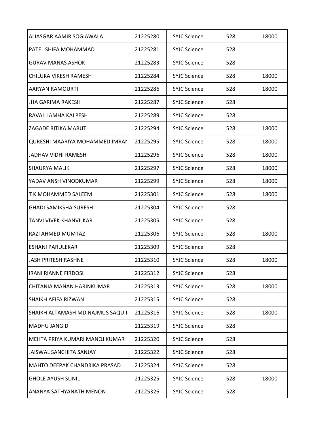| ALIASGAR AAMIR SOGIAWALA              | 21225280 | <b>SYJC Science</b> | 528 | 18000 |
|---------------------------------------|----------|---------------------|-----|-------|
| PATFL SHIFA MOHAMMAD                  | 21225281 | <b>SYJC Science</b> | 528 |       |
| <b>GURAV MANAS ASHOK</b>              | 21225283 | <b>SYJC Science</b> | 528 |       |
| CHILUKA VIKESH RAMESH                 | 21225284 | <b>SYJC Science</b> | 528 | 18000 |
| <b>AARYAN RAMOURTI</b>                | 21225286 | <b>SYJC Science</b> | 528 | 18000 |
| <b>JHA GARIMA RAKESH</b>              | 21225287 | <b>SYJC Science</b> | 528 |       |
| RAVAL LAMHA KALPESH                   | 21225289 | <b>SYJC Science</b> | 528 |       |
| <b>ZAGADE RITIKA MARUTI</b>           | 21225294 | <b>SYJC Science</b> | 528 | 18000 |
| <b>QURESHI MAARIYA MOHAMMED IMRAN</b> | 21225295 | <b>SYJC Science</b> | 528 | 18000 |
| <b>JADHAV VIDHI RAMESH</b>            | 21225296 | <b>SYJC Science</b> | 528 | 18000 |
| <b>SHAURYA MALIK</b>                  | 21225297 | <b>SYJC Science</b> | 528 | 18000 |
| YADAV ANSH VINODKUMAR                 | 21225299 | <b>SYJC Science</b> | 528 | 18000 |
| T K MOHAMMED SALEEM                   | 21225301 | <b>SYJC Science</b> | 528 | 18000 |
| <b>GHADI SAMIKSHA SURESH</b>          | 21225304 | <b>SYJC Science</b> | 528 |       |
| TANVI VIVEK KHANVILKAR                | 21225305 | <b>SYJC Science</b> | 528 |       |
| RAZI AHMED MUMTAZ                     | 21225306 | <b>SYJC Science</b> | 528 | 18000 |
| <b>ESHANI PARULEKAR</b>               | 21225309 | <b>SYJC Science</b> | 528 |       |
| <b>JASH PRITESH RASHNE</b>            | 21225310 | <b>SYJC Science</b> | 528 | 18000 |
| <b>IRANI RIANNE FIRDOSH</b>           | 21225312 | <b>SYJC Science</b> | 528 |       |
| CHITANIA MANAN HARINKUMAR             | 21225313 | <b>SYJC Science</b> | 528 | 18000 |
| <b>SHAIKH AFIFA RIZWAN</b>            | 21225315 | <b>SYJC Science</b> | 528 |       |
| SHAIKH ALTAMASH MD NAJMUS SAQUI       | 21225316 | <b>SYJC Science</b> | 528 | 18000 |
| <b>MADHU JANGID</b>                   | 21225319 | <b>SYJC Science</b> | 528 |       |
| MEHTA PRIYA KUMARI MANOJ KUMAR        | 21225320 | <b>SYJC Science</b> | 528 |       |
| JAISWAL SANCHITA SANJAY               | 21225322 | <b>SYJC Science</b> | 528 |       |
| MAHTO DEEPAK CHANDRIKA PRASAD         | 21225324 | <b>SYJC Science</b> | 528 |       |
| <b>GHOLE AYUSH SUNIL</b>              | 21225325 | <b>SYJC Science</b> | 528 | 18000 |
| ANANYA SATHYANATH MENON               | 21225326 | <b>SYJC Science</b> | 528 |       |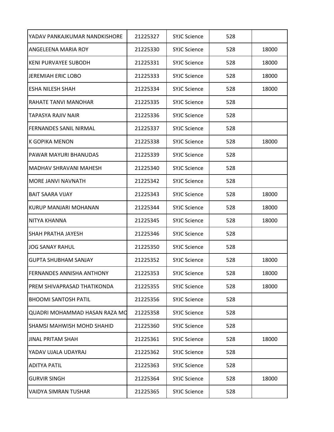| YADAV PANKAJKUMAR NANDKISHORE     | 21225327 | <b>SYJC Science</b> | 528 |       |
|-----------------------------------|----------|---------------------|-----|-------|
| ANGELEENA MARIA ROY               | 21225330 | <b>SYJC Science</b> | 528 | 18000 |
| <b>KENI PURVAYEE SUBODH</b>       | 21225331 | <b>SYJC Science</b> | 528 | 18000 |
| <b>JEREMIAH ERIC LOBO</b>         | 21225333 | <b>SYJC Science</b> | 528 | 18000 |
| <b>ESHA NILESH SHAH</b>           | 21225334 | <b>SYJC Science</b> | 528 | 18000 |
| <b>RAHATE TANVI MANOHAR</b>       | 21225335 | <b>SYJC Science</b> | 528 |       |
| TAPASYA RAJIV NAIR                | 21225336 | <b>SYJC Science</b> | 528 |       |
| <b>FERNANDES SANIL NIRMAL</b>     | 21225337 | <b>SYJC Science</b> | 528 |       |
| K GOPIKA MENON                    | 21225338 | <b>SYJC Science</b> | 528 | 18000 |
| PAWAR MAYURI BHANUDAS             | 21225339 | <b>SYJC Science</b> | 528 |       |
| <b>MADHAV SHRAVANI MAHESH</b>     | 21225340 | <b>SYJC Science</b> | 528 |       |
| MORE JANVI NAVNATH                | 21225342 | <b>SYJC Science</b> | 528 |       |
| <b>BAIT SAARA VIJAY</b>           | 21225343 | <b>SYJC Science</b> | 528 | 18000 |
| KURUP MANJARI MOHANAN             | 21225344 | <b>SYJC Science</b> | 528 | 18000 |
| NITYA KHANNA                      | 21225345 | <b>SYJC Science</b> | 528 | 18000 |
| <b>SHAH PRATHA JAYESH</b>         | 21225346 | <b>SYJC Science</b> | 528 |       |
| JOG SANAY RAHUL                   | 21225350 | <b>SYJC Science</b> | 528 |       |
| <b>GUPTA SHUBHAM SANJAY</b>       | 21225352 | <b>SYJC Science</b> | 528 | 18000 |
| <b>FERNANDES ANNISHA ANTHONY</b>  | 21225353 | <b>SYJC Science</b> | 528 | 18000 |
| PREM SHIVAPRASAD THATIKONDA       | 21225355 | <b>SYJC Science</b> | 528 | 18000 |
| <b>BHOOMI SANTOSH PATIL</b>       | 21225356 | <b>SYJC Science</b> | 528 |       |
| QUADRI MOHAMMAD HASAN RAZA MO     | 21225358 | <b>SYJC Science</b> | 528 |       |
| <b>SHAMSI MAHWISH MOHD SHAHID</b> | 21225360 | <b>SYJC Science</b> | 528 |       |
| JINAL PRITAM SHAH                 | 21225361 | <b>SYJC Science</b> | 528 | 18000 |
| YADAV UJALA UDAYRAJ               | 21225362 | <b>SYJC Science</b> | 528 |       |
| ADITYA PATIL                      | 21225363 | <b>SYJC Science</b> | 528 |       |
| <b>GURVIR SINGH</b>               | 21225364 | <b>SYJC Science</b> | 528 | 18000 |
| <b>VAIDYA SIMRAN TUSHAR</b>       | 21225365 | <b>SYJC Science</b> | 528 |       |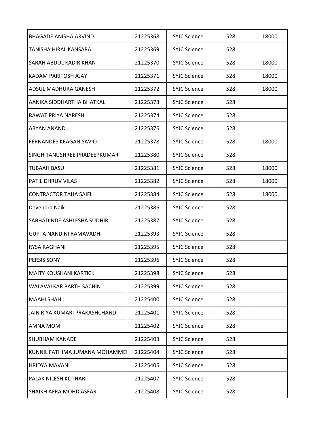| BHAGADE ANISHA ARVIND             | 21225368 | <b>SYJC Science</b> | 528 | 18000 |
|-----------------------------------|----------|---------------------|-----|-------|
| TANISHA HIRAL KANSARA             | 21225369 | <b>SYJC Science</b> | 528 |       |
| <b>SARAH ABDUL KADIR KHAN</b>     | 21225370 | <b>SYJC Science</b> | 528 | 18000 |
| KADAM PARITOSH AJAY               | 21225371 | <b>SYJC Science</b> | 528 | 18000 |
| ADSUL MADHURA GANESH              | 21225372 | <b>SYJC Science</b> | 528 | 18000 |
| AANIKA SIDDHARTHA BHATKAL         | 21225373 | <b>SYJC Science</b> | 528 |       |
| RAWAT PRIYA NARESH                | 21225374 | <b>SYJC Science</b> | 528 |       |
| <b>ARYAN ANAND</b>                | 21225376 | <b>SYJC Science</b> | 528 |       |
| <b>FERNANDES KEAGAN SAVIO</b>     | 21225378 | <b>SYJC Science</b> | 528 | 18000 |
| SINGH TANUSHREE PRADEEPKUMAR      | 21225380 | <b>SYJC Science</b> | 528 |       |
| TUBAAH BASU                       | 21225381 | <b>SYJC Science</b> | 528 | 18000 |
| <b>PATIL DHRUV VILAS</b>          | 21225382 | <b>SYJC Science</b> | 528 | 18000 |
| <b>CONTRACTOR TAHA SAIFI</b>      | 21225384 | <b>SYJC Science</b> | 528 | 18000 |
| Devendra Naik                     | 21225386 | <b>SYJC Science</b> | 528 |       |
| <b>SABHADINDE ASHLESHA SUDHIR</b> | 21225387 | <b>SYJC Science</b> | 528 |       |
| <b>GUPTA NANDINI RAMAVADH</b>     | 21225393 | <b>SYJC Science</b> | 528 |       |
| <b>RYSA RAGHANI</b>               | 21225395 | <b>SYJC Science</b> | 528 |       |
| <b>PERSIS SONY</b>                | 21225396 | <b>SYJC Science</b> | 528 |       |
| <b>MAITY KOUSHANI KARTICK</b>     | 21225398 | <b>SYJC Science</b> | 528 |       |
| WALAVALKAR PARTH SACHIN           | 21225399 | <b>SYJC Science</b> | 528 |       |
| <b>MAAHI SHAH</b>                 | 21225400 | <b>SYJC Science</b> | 528 |       |
| JAIN RIYA KUMARI PRAKASHCHAND     | 21225401 | <b>SYJC Science</b> | 528 |       |
| AMNA MOM                          | 21225402 | <b>SYJC Science</b> | 528 |       |
| <b>SHUBHAM KANADE</b>             | 21225403 | <b>SYJC Science</b> | 528 |       |
| KUNNIL FATHIMA JUMANA MOHAMME     | 21225404 | <b>SYJC Science</b> | 528 |       |
| IHRIDYA MAVANI                    | 21225406 | <b>SYJC Science</b> | 528 |       |
| PALAK NILESH KOTHARI              | 21225407 | <b>SYJC Science</b> | 528 |       |
| <b>SHAIKH AFRA MOHD ASFAR</b>     | 21225408 | <b>SYJC Science</b> | 528 |       |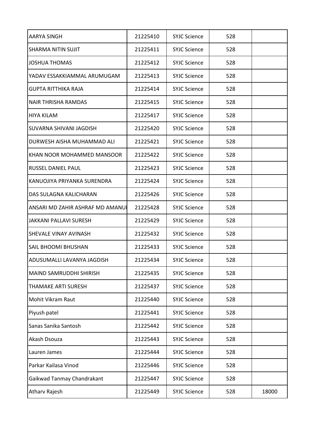| AARYA SINGH                      | 21225410 | <b>SYJC Science</b> | 528 |       |
|----------------------------------|----------|---------------------|-----|-------|
| <b>SHARMA NITIN SUJIT</b>        | 21225411 | <b>SYJC Science</b> | 528 |       |
| <b>JOSHUA THOMAS</b>             | 21225412 | <b>SYJC Science</b> | 528 |       |
| YADAV ESSAKKIAMMAL ARUMUGAM      | 21225413 | <b>SYJC Science</b> | 528 |       |
| <b>GUPTA RITTHIKA RAJA</b>       | 21225414 | <b>SYJC Science</b> | 528 |       |
| <b>NAIR THRISHA RAMDAS</b>       | 21225415 | <b>SYJC Science</b> | 528 |       |
| <b>HIYA KILAM</b>                | 21225417 | <b>SYJC Science</b> | 528 |       |
| SUVARNA SHIVANI JAGDISH          | 21225420 | <b>SYJC Science</b> | 528 |       |
| DURWESH AISHA MUHAMMAD ALI       | 21225421 | <b>SYJC Science</b> | 528 |       |
| IKHAN NOOR MOHAMMED MANSOOR      | 21225422 | <b>SYJC Science</b> | 528 |       |
| <b>RUSSEL DANIEL PAUL</b>        | 21225423 | <b>SYJC Science</b> | 528 |       |
| KANUOJIYA PRIYANKA SURENDRA      | 21225424 | <b>SYJC Science</b> | 528 |       |
| DAS SULAGNA KALICHARAN           | 21225426 | <b>SYJC Science</b> | 528 |       |
| ANSARI MD ZAHIR ASHRAF MD AMANUI | 21225428 | <b>SYJC Science</b> | 528 |       |
| JAKKANI PALLAVI SURESH           | 21225429 | <b>SYJC Science</b> | 528 |       |
| <b>SHEVALE VINAY AVINASH</b>     | 21225432 | <b>SYJC Science</b> | 528 |       |
| <b>SAIL BHOOMI BHUSHAN</b>       | 21225433 | <b>SYJC Science</b> | 528 |       |
| ADUSUMALLI LAVANYA JAGDISH       | 21225434 | <b>SYJC Science</b> | 528 |       |
| MAIND SAMRUDDHI SHIRISH          | 21225435 | <b>SYJC Science</b> | 528 |       |
| <b>THAMAKE ARTI SURESH</b>       | 21225437 | <b>SYJC Science</b> | 528 |       |
| Mohit Vikram Raut                | 21225440 | <b>SYJC Science</b> | 528 |       |
| Piyush patel                     | 21225441 | <b>SYJC Science</b> | 528 |       |
| Sanas Sanika Santosh             | 21225442 | <b>SYJC Science</b> | 528 |       |
| Akash Dsouza                     | 21225443 | <b>SYJC Science</b> | 528 |       |
| Lauren James                     | 21225444 | <b>SYJC Science</b> | 528 |       |
| Parkar Kailasa Vinod             | 21225446 | <b>SYJC Science</b> | 528 |       |
| Gaikwad Tanmay Chandrakant       | 21225447 | <b>SYJC Science</b> | 528 |       |
| <b>Atharv Rajesh</b>             | 21225449 | <b>SYJC Science</b> | 528 | 18000 |
|                                  |          |                     |     |       |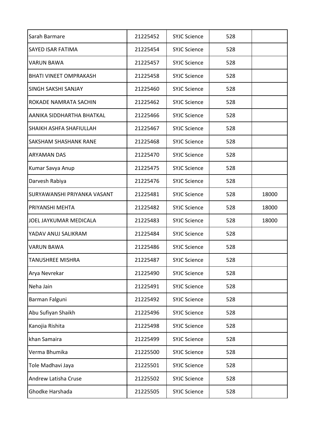| Sarah Barmare                      | 21225452 | <b>SYJC Science</b> | 528 |       |
|------------------------------------|----------|---------------------|-----|-------|
| <b>SAYED ISAR FATIMA</b>           | 21225454 | <b>SYJC Science</b> | 528 |       |
| <b>VARUN BAWA</b>                  | 21225457 | <b>SYJC Science</b> | 528 |       |
| <b>BHATI VINEET OMPRAKASH</b>      | 21225458 | <b>SYJC Science</b> | 528 |       |
| <b>SINGH SAKSHI SANJAY</b>         | 21225460 | <b>SYJC Science</b> | 528 |       |
| ROKADE NAMRATA SACHIN              | 21225462 | <b>SYJC Science</b> | 528 |       |
| AANIKA SIDDHARTHA BHATKAL          | 21225466 | <b>SYJC Science</b> | 528 |       |
| <b>SHAIKH ASHFA SHAFIULLAH</b>     | 21225467 | <b>SYJC Science</b> | 528 |       |
| <b>SAKSHAM SHASHANK RANE</b>       | 21225468 | <b>SYJC Science</b> | 528 |       |
| <b>ARYAMAN DAS</b>                 | 21225470 | <b>SYJC Science</b> | 528 |       |
| Kumar Savya Anup                   | 21225475 | <b>SYJC Science</b> | 528 |       |
| Darvesh Rabiya                     | 21225476 | <b>SYJC Science</b> | 528 |       |
| <b>SURYAWANSHI PRIYANKA VASANT</b> | 21225481 | <b>SYJC Science</b> | 528 | 18000 |
| PRIYANSHI MEHTA                    | 21225482 | <b>SYJC Science</b> | 528 | 18000 |
| JOEL JAYKUMAR MEDICALA             | 21225483 | <b>SYJC Science</b> | 528 | 18000 |
| YADAV ANUJ SALIKRAM                | 21225484 | <b>SYJC Science</b> | 528 |       |
| <b>VARUN BAWA</b>                  | 21225486 | <b>SYJC Science</b> | 528 |       |
| <b>TANUSHREE MISHRA</b>            | 21225487 | <b>SYJC Science</b> | 528 |       |
| Arya Nevrekar                      | 21225490 | <b>SYJC Science</b> | 528 |       |
| Neha Jain                          | 21225491 | <b>SYJC Science</b> | 528 |       |
| Barman Falguni                     | 21225492 | <b>SYJC Science</b> | 528 |       |
| Abu Sufiyan Shaikh                 | 21225496 | <b>SYJC Science</b> | 528 |       |
| Kanojia Rishita                    | 21225498 | <b>SYJC Science</b> | 528 |       |
| khan Samaira                       | 21225499 | <b>SYJC Science</b> | 528 |       |
| Verma Bhumika                      | 21225500 | <b>SYJC Science</b> | 528 |       |
| Tole Madhavi Jaya                  | 21225501 | <b>SYJC Science</b> | 528 |       |
| Andrew Latisha Cruse               | 21225502 | <b>SYJC Science</b> | 528 |       |
| Ghodke Harshada                    | 21225505 | <b>SYJC Science</b> | 528 |       |
|                                    |          |                     |     |       |